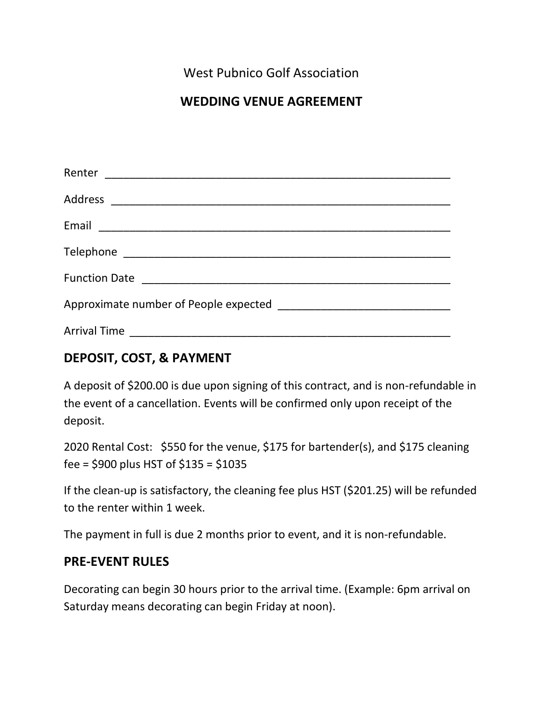West Pubnico Golf Association

# **WEDDING VENUE AGREEMENT**

## **DEPOSIT, COST, & PAYMENT**

A deposit of \$200.00 is due upon signing of this contract, and is non-refundable in the event of a cancellation. Events will be confirmed only upon receipt of the deposit.

2020 Rental Cost: \$550 for the venue, \$175 for bartender(s), and \$175 cleaning fee = \$900 plus HST of \$135 = \$1035

If the clean-up is satisfactory, the cleaning fee plus HST (\$201.25) will be refunded to the renter within 1 week.

The payment in full is due 2 months prior to event, and it is non-refundable.

## **PRE-EVENT RULES**

Decorating can begin 30 hours prior to the arrival time. (Example: 6pm arrival on Saturday means decorating can begin Friday at noon).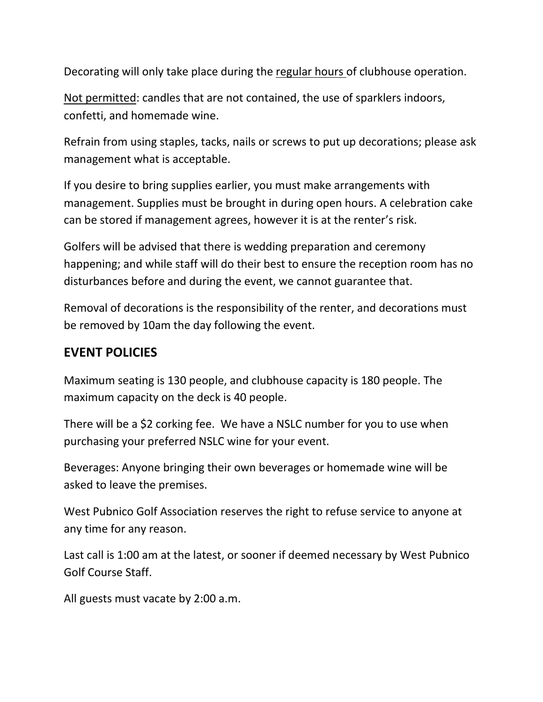Decorating will only take place during the regular hours of clubhouse operation.

Not permitted: candles that are not contained, the use of sparklers indoors, confetti, and homemade wine.

Refrain from using staples, tacks, nails or screws to put up decorations; please ask management what is acceptable.

If you desire to bring supplies earlier, you must make arrangements with management. Supplies must be brought in during open hours. A celebration cake can be stored if management agrees, however it is at the renter's risk.

Golfers will be advised that there is wedding preparation and ceremony happening; and while staff will do their best to ensure the reception room has no disturbances before and during the event, we cannot guarantee that.

Removal of decorations is the responsibility of the renter, and decorations must be removed by 10am the day following the event.

## **EVENT POLICIES**

Maximum seating is 130 people, and clubhouse capacity is 180 people. The maximum capacity on the deck is 40 people.

There will be a \$2 corking fee. We have a NSLC number for you to use when purchasing your preferred NSLC wine for your event.

Beverages: Anyone bringing their own beverages or homemade wine will be asked to leave the premises.

West Pubnico Golf Association reserves the right to refuse service to anyone at any time for any reason.

Last call is 1:00 am at the latest, or sooner if deemed necessary by West Pubnico Golf Course Staff.

All guests must vacate by 2:00 a.m.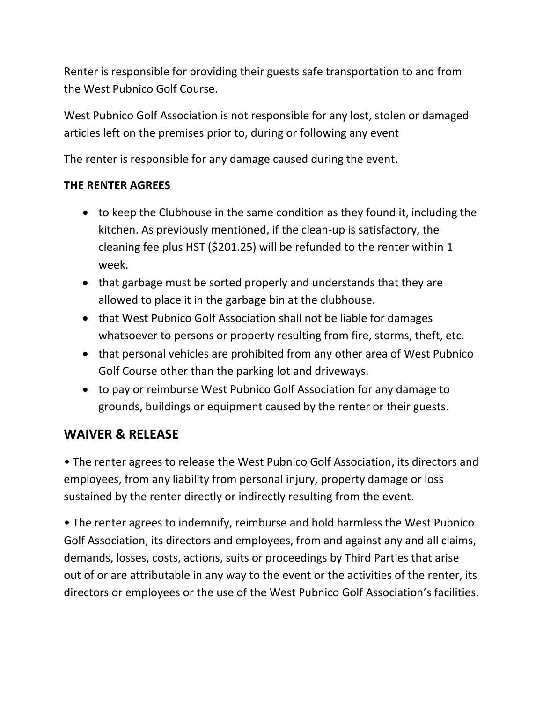Renter is responsible for providing their guests safe transportation to and from the West Pubnico Golf Course.

West Pubnico Golf Association is not responsible for any lost, stolen or damaged articles left on the premises prior to, during or following any event

The renter is responsible for any damage caused during the event.

### **THE RENTER AGREES**

- to keep the Clubhouse in the same condition as they found it, including the kitchen. As previously mentioned, if the clean-up is satisfactory, the cleaning fee plus HST (\$201.25) will be refunded to the renter within 1 week.
- that garbage must be sorted properly and understands that they are allowed to place it in the garbage bin at the clubhouse.
- that West Pubnico Golf Association shall not be liable for damages whatsoever to persons or property resulting from fire, storms, theft, etc.
- that personal vehicles are prohibited from any other area of West Pubnico Golf Course other than the parking lot and driveways.
- to pay or reimburse West Pubnico Golf Association for any damage to grounds, buildings or equipment caused by the renter or their guests.

## **WAIVER & RELEASE**

• The renter agrees to release the West Pubnico Golf Association, its directors and employees, from any liability from personal injury, property damage or loss sustained by the renter directly or indirectly resulting from the event.

• The renter agrees to indemnify, reimburse and hold harmless the West Pubnico Golf Association, its directors and employees, from and against any and all claims, demands, losses, costs, actions, suits or proceedings by Third Parties that arise out of or are attributable in any way to the event or the activities of the renter, its directors or employees or the use of the West Pubnico Golf Association's facilities.